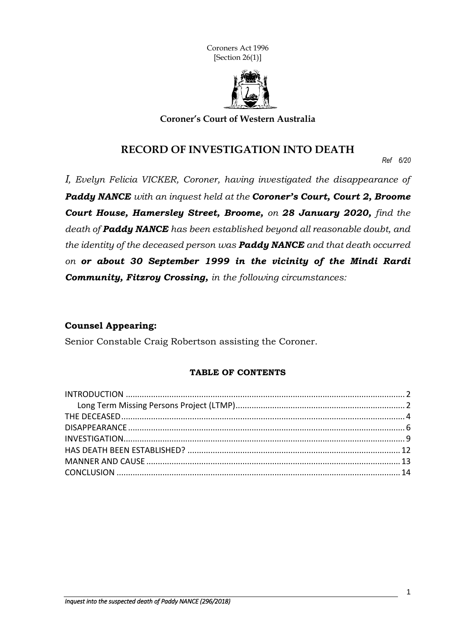Coroners Act 1996 [Section 26(1)]



**Coroner's Court of Western Australia**

### **RECORD OF INVESTIGATION INTO DEATH**

*Ref 6/20*

*I, Evelyn Felicia VICKER, Coroner, having investigated the disappearance of Paddy NANCE with an inquest held at the Coroner's Court, Court 2, Broome Court House, Hamersley Street, Broome, on 28 January 2020, find the death of Paddy NANCE has been established beyond all reasonable doubt, and the identity of the deceased person was Paddy NANCE and that death occurred on or about 30 September 1999 in the vicinity of the Mindi Rardi Community, Fitzroy Crossing, in the following circumstances:*

#### **Counsel Appearing:**

Senior Constable Craig Robertson assisting the Coroner.

#### **TABLE OF CONTENTS**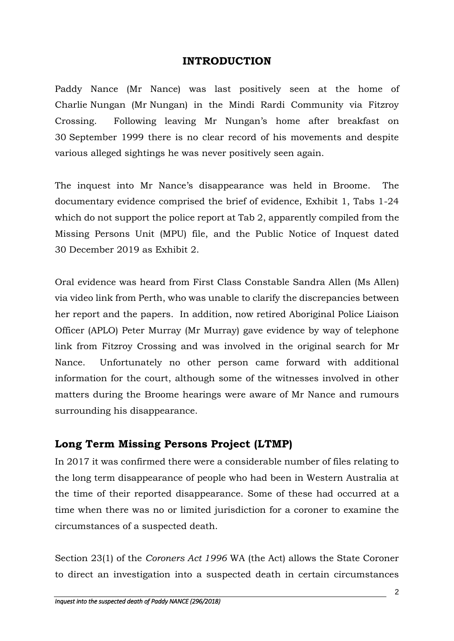### **INTRODUCTION**

Paddy Nance (Mr Nance) was last positively seen at the home of Charlie Nungan (Mr Nungan) in the Mindi Rardi Community via Fitzroy Crossing. Following leaving Mr Nungan's home after breakfast on 30 September 1999 there is no clear record of his movements and despite various alleged sightings he was never positively seen again.

The inquest into Mr Nance's disappearance was held in Broome. The documentary evidence comprised the brief of evidence, Exhibit 1, Tabs 1-24 which do not support the police report at Tab 2, apparently compiled from the Missing Persons Unit (MPU) file, and the Public Notice of Inquest dated 30 December 2019 as Exhibit 2.

Oral evidence was heard from First Class Constable Sandra Allen (Ms Allen) via video link from Perth, who was unable to clarify the discrepancies between her report and the papers. In addition, now retired Aboriginal Police Liaison Officer (APLO) Peter Murray (Mr Murray) gave evidence by way of telephone link from Fitzroy Crossing and was involved in the original search for Mr Nance. Unfortunately no other person came forward with additional information for the court, although some of the witnesses involved in other matters during the Broome hearings were aware of Mr Nance and rumours surrounding his disappearance.

# **Long Term Missing Persons Project (LTMP)**

In 2017 it was confirmed there were a considerable number of files relating to the long term disappearance of people who had been in Western Australia at the time of their reported disappearance. Some of these had occurred at a time when there was no or limited jurisdiction for a coroner to examine the circumstances of a suspected death.

Section 23(1) of the *Coroners Act 1996* WA (the Act) allows the State Coroner to direct an investigation into a suspected death in certain circumstances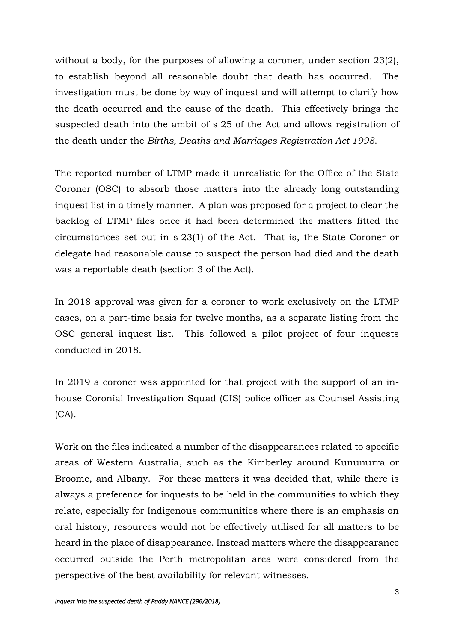without a body, for the purposes of allowing a coroner, under section 23(2), to establish beyond all reasonable doubt that death has occurred. The investigation must be done by way of inquest and will attempt to clarify how the death occurred and the cause of the death. This effectively brings the suspected death into the ambit of s 25 of the Act and allows registration of the death under the *Births, Deaths and Marriages Registration Act 1998*.

The reported number of LTMP made it unrealistic for the Office of the State Coroner (OSC) to absorb those matters into the already long outstanding inquest list in a timely manner. A plan was proposed for a project to clear the backlog of LTMP files once it had been determined the matters fitted the circumstances set out in s 23(1) of the Act. That is, the State Coroner or delegate had reasonable cause to suspect the person had died and the death was a reportable death (section 3 of the Act).

In 2018 approval was given for a coroner to work exclusively on the LTMP cases, on a part-time basis for twelve months, as a separate listing from the OSC general inquest list. This followed a pilot project of four inquests conducted in 2018.

In 2019 a coroner was appointed for that project with the support of an inhouse Coronial Investigation Squad (CIS) police officer as Counsel Assisting (CA).

Work on the files indicated a number of the disappearances related to specific areas of Western Australia, such as the Kimberley around Kununurra or Broome, and Albany. For these matters it was decided that, while there is always a preference for inquests to be held in the communities to which they relate, especially for Indigenous communities where there is an emphasis on oral history, resources would not be effectively utilised for all matters to be heard in the place of disappearance. Instead matters where the disappearance occurred outside the Perth metropolitan area were considered from the perspective of the best availability for relevant witnesses.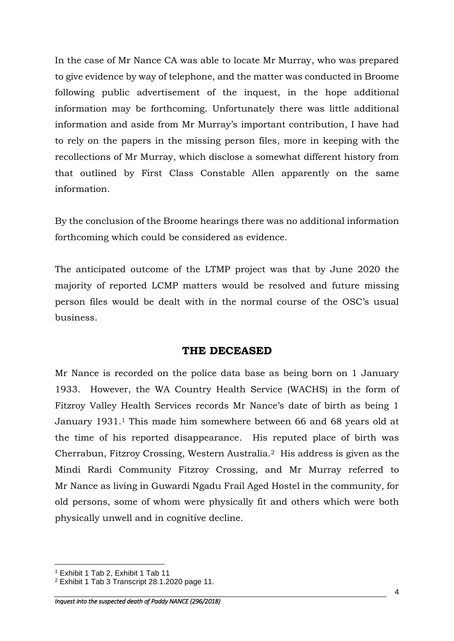In the case of Mr Nance CA was able to locate Mr Murray, who was prepared to give evidence by way of telephone, and the matter was conducted in Broome following public advertisement of the inquest, in the hope additional information may be forthcoming. Unfortunately there was little additional information and aside from Mr Murray's important contribution, I have had to rely on the papers in the missing person files, more in keeping with the recollections of Mr Murray, which disclose a somewhat different history from that outlined by First Class Constable Allen apparently on the same information.

By the conclusion of the Broome hearings there was no additional information forthcoming which could be considered as evidence.

The anticipated outcome of the LTMP project was that by June 2020 the majority of reported LCMP matters would be resolved and future missing person files would be dealt with in the normal course of the OSC's usual business.

### **THE DECEASED**

Mr Nance is recorded on the police data base as being born on 1 January 1933. However, the WA Country Health Service (WACHS) in the form of Fitzroy Valley Health Services records Mr Nance's date of birth as being 1 January 1931.<sup>1</sup> This made him somewhere between 66 and 68 years old at the time of his reported disappearance. His reputed place of birth was Cherrabun, Fitzroy Crossing, Western Australia.2 His address is given as the Mindi Rardi Community Fitzroy Crossing, and Mr Murray referred to Mr Nance as living in Guwardi Ngadu Frail Aged Hostel in the community, for old persons, some of whom were physically fit and others which were both physically unwell and in cognitive decline.

<sup>1</sup> Exhibit 1 Tab 2, Exhibit 1 Tab 11

<sup>2</sup> Exhibit 1 Tab 3 Transcript 28.1.2020 page 11.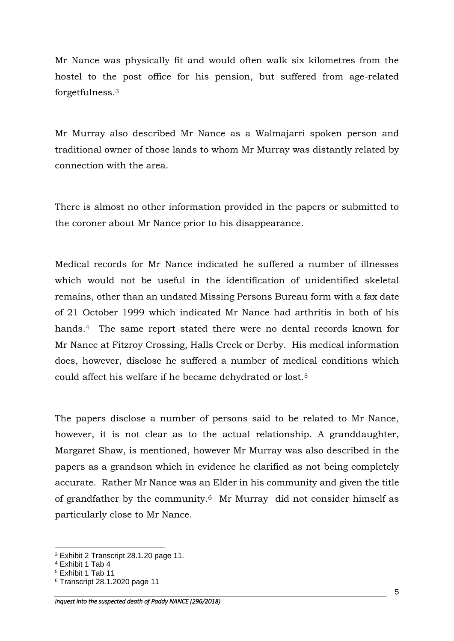Mr Nance was physically fit and would often walk six kilometres from the hostel to the post office for his pension, but suffered from age-related forgetfulness.<sup>3</sup>

Mr Murray also described Mr Nance as a Walmajarri spoken person and traditional owner of those lands to whom Mr Murray was distantly related by connection with the area.

There is almost no other information provided in the papers or submitted to the coroner about Mr Nance prior to his disappearance.

Medical records for Mr Nance indicated he suffered a number of illnesses which would not be useful in the identification of unidentified skeletal remains, other than an undated Missing Persons Bureau form with a fax date of 21 October 1999 which indicated Mr Nance had arthritis in both of his hands.4 The same report stated there were no dental records known for Mr Nance at Fitzroy Crossing, Halls Creek or Derby. His medical information does, however, disclose he suffered a number of medical conditions which could affect his welfare if he became dehydrated or lost.<sup>5</sup>

The papers disclose a number of persons said to be related to Mr Nance, however, it is not clear as to the actual relationship. A granddaughter, Margaret Shaw, is mentioned, however Mr Murray was also described in the papers as a grandson which in evidence he clarified as not being completely accurate. Rather Mr Nance was an Elder in his community and given the title of grandfather by the community. <sup>6</sup> Mr Murray did not consider himself as particularly close to Mr Nance.

<sup>3</sup> Exhibit 2 Transcript 28.1.20 page 11.

<sup>4</sup> Exhibit 1 Tab 4

<sup>5</sup> Exhibit 1 Tab 11

<sup>6</sup> Transcript 28.1.2020 page 11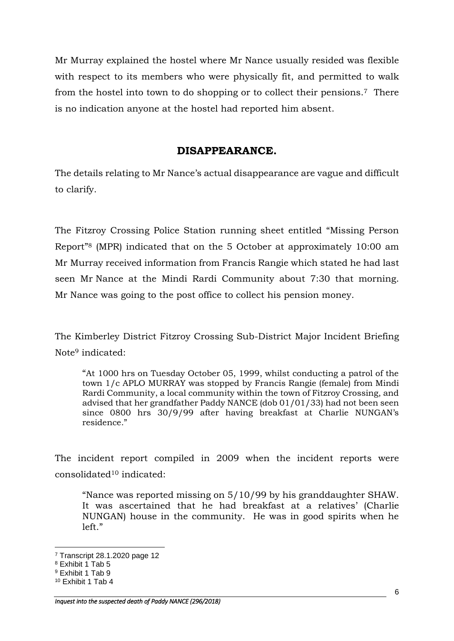Mr Murray explained the hostel where Mr Nance usually resided was flexible with respect to its members who were physically fit, and permitted to walk from the hostel into town to do shopping or to collect their pensions.7 There is no indication anyone at the hostel had reported him absent.

## **DISAPPEARANCE.**

The details relating to Mr Nance's actual disappearance are vague and difficult to clarify.

The Fitzroy Crossing Police Station running sheet entitled "Missing Person Report"<sup>8</sup> (MPR) indicated that on the 5 October at approximately 10:00 am Mr Murray received information from Francis Rangie which stated he had last seen Mr Nance at the Mindi Rardi Community about 7:30 that morning. Mr Nance was going to the post office to collect his pension money.

The Kimberley District Fitzroy Crossing Sub-District Major Incident Briefing Note<sup>9</sup> indicated:

"At 1000 hrs on Tuesday October 05, 1999, whilst conducting a patrol of the town 1/c APLO MURRAY was stopped by Francis Rangie (female) from Mindi Rardi Community, a local community within the town of Fitzroy Crossing, and advised that her grandfather Paddy NANCE (dob 01/01/33) had not been seen since 0800 hrs 30/9/99 after having breakfast at Charlie NUNGAN's residence."

The incident report compiled in 2009 when the incident reports were consolidated<sup>10</sup> indicated:

"Nance was reported missing on 5/10/99 by his granddaughter SHAW. It was ascertained that he had breakfast at a relatives' (Charlie NUNGAN) house in the community. He was in good spirits when he left."

<sup>7</sup> Transcript 28.1.2020 page 12

<sup>8</sup> Exhibit 1 Tab 5

<sup>9</sup> Exhibit 1 Tab 9

<sup>10</sup> Exhibit 1 Tab 4

*Inquest into the suspected death of Paddy NANCE (296/2018)*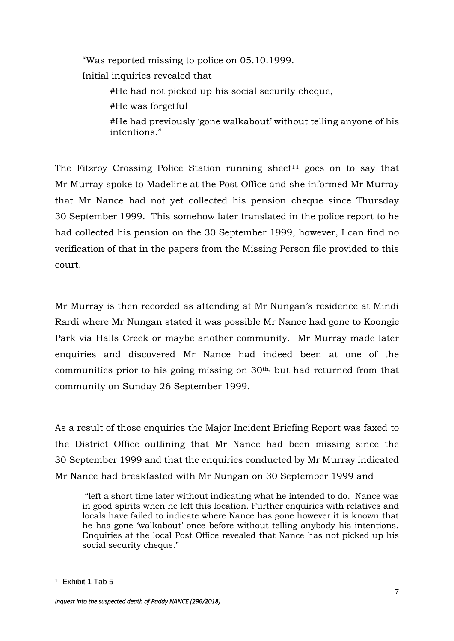"Was reported missing to police on 05.10.1999. Initial inquiries revealed that #He had not picked up his social security cheque, #He was forgetful #He had previously 'gone walkabout' without telling anyone of his intentions."

The Fitzroy Crossing Police Station running sheet<sup>11</sup> goes on to say that Mr Murray spoke to Madeline at the Post Office and she informed Mr Murray that Mr Nance had not yet collected his pension cheque since Thursday 30 September 1999. This somehow later translated in the police report to he had collected his pension on the 30 September 1999, however, I can find no verification of that in the papers from the Missing Person file provided to this court.

Mr Murray is then recorded as attending at Mr Nungan's residence at Mindi Rardi where Mr Nungan stated it was possible Mr Nance had gone to Koongie Park via Halls Creek or maybe another community. Mr Murray made later enquiries and discovered Mr Nance had indeed been at one of the communities prior to his going missing on 30th, but had returned from that community on Sunday 26 September 1999.

As a result of those enquiries the Major Incident Briefing Report was faxed to the District Office outlining that Mr Nance had been missing since the 30 September 1999 and that the enquiries conducted by Mr Murray indicated Mr Nance had breakfasted with Mr Nungan on 30 September 1999 and

"left a short time later without indicating what he intended to do. Nance was in good spirits when he left this location. Further enquiries with relatives and locals have failed to indicate where Nance has gone however it is known that he has gone 'walkabout' once before without telling anybody his intentions. Enquiries at the local Post Office revealed that Nance has not picked up his social security cheque."

<sup>11</sup> Exhibit 1 Tab 5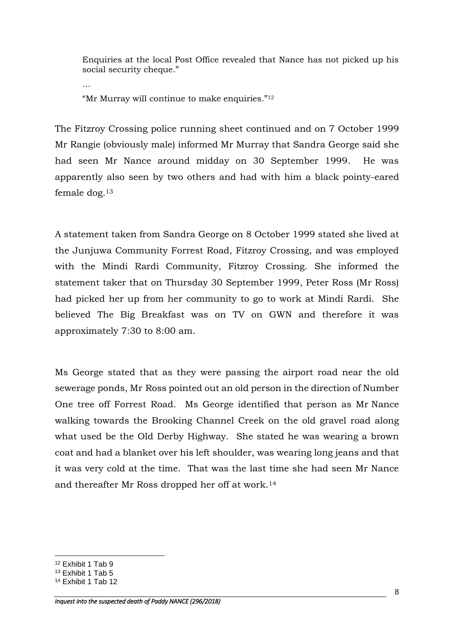Enquiries at the local Post Office revealed that Nance has not picked up his social security cheque."

"Mr Murray will continue to make enquiries."<sup>12</sup>

…

The Fitzroy Crossing police running sheet continued and on 7 October 1999 Mr Rangie (obviously male) informed Mr Murray that Sandra George said she had seen Mr Nance around midday on 30 September 1999. He was apparently also seen by two others and had with him a black pointy-eared female dog.<sup>13</sup>

A statement taken from Sandra George on 8 October 1999 stated she lived at the Junjuwa Community Forrest Road, Fitzroy Crossing, and was employed with the Mindi Rardi Community, Fitzroy Crossing. She informed the statement taker that on Thursday 30 September 1999, Peter Ross (Mr Ross) had picked her up from her community to go to work at Mindi Rardi. She believed The Big Breakfast was on TV on GWN and therefore it was approximately 7:30 to 8:00 am.

Ms George stated that as they were passing the airport road near the old sewerage ponds, Mr Ross pointed out an old person in the direction of Number One tree off Forrest Road. Ms George identified that person as Mr Nance walking towards the Brooking Channel Creek on the old gravel road along what used be the Old Derby Highway. She stated he was wearing a brown coat and had a blanket over his left shoulder, was wearing long jeans and that it was very cold at the time. That was the last time she had seen Mr Nance and thereafter Mr Ross dropped her off at work.<sup>14</sup>

<sup>1</sup> <sup>12</sup> Exhibit 1 Tab 9

<sup>13</sup> Exhibit 1 Tab 5

<sup>14</sup> Exhibit 1 Tab 12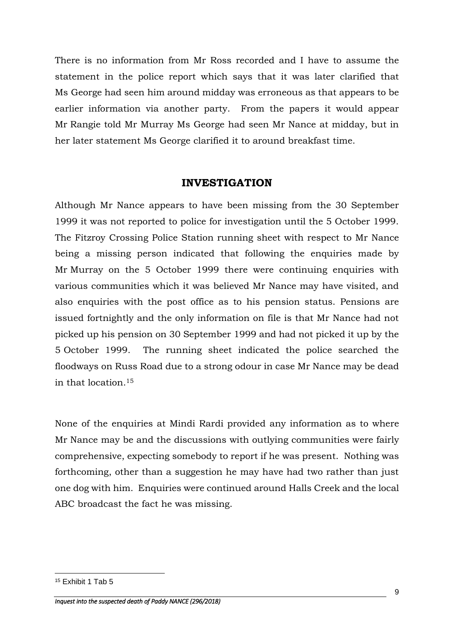There is no information from Mr Ross recorded and I have to assume the statement in the police report which says that it was later clarified that Ms George had seen him around midday was erroneous as that appears to be earlier information via another party. From the papers it would appear Mr Rangie told Mr Murray Ms George had seen Mr Nance at midday, but in her later statement Ms George clarified it to around breakfast time.

### **INVESTIGATION**

Although Mr Nance appears to have been missing from the 30 September 1999 it was not reported to police for investigation until the 5 October 1999. The Fitzroy Crossing Police Station running sheet with respect to Mr Nance being a missing person indicated that following the enquiries made by Mr Murray on the 5 October 1999 there were continuing enquiries with various communities which it was believed Mr Nance may have visited, and also enquiries with the post office as to his pension status. Pensions are issued fortnightly and the only information on file is that Mr Nance had not picked up his pension on 30 September 1999 and had not picked it up by the 5 October 1999. The running sheet indicated the police searched the floodways on Russ Road due to a strong odour in case Mr Nance may be dead in that location.<sup>15</sup>

None of the enquiries at Mindi Rardi provided any information as to where Mr Nance may be and the discussions with outlying communities were fairly comprehensive, expecting somebody to report if he was present. Nothing was forthcoming, other than a suggestion he may have had two rather than just one dog with him. Enquiries were continued around Halls Creek and the local ABC broadcast the fact he was missing.

<sup>15</sup> Exhibit 1 Tab 5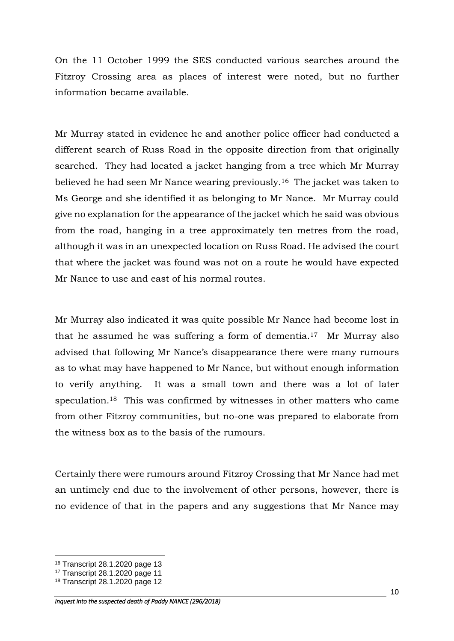On the 11 October 1999 the SES conducted various searches around the Fitzroy Crossing area as places of interest were noted, but no further information became available.

Mr Murray stated in evidence he and another police officer had conducted a different search of Russ Road in the opposite direction from that originally searched. They had located a jacket hanging from a tree which Mr Murray believed he had seen Mr Nance wearing previously.16 The jacket was taken to Ms George and she identified it as belonging to Mr Nance. Mr Murray could give no explanation for the appearance of the jacket which he said was obvious from the road, hanging in a tree approximately ten metres from the road, although it was in an unexpected location on Russ Road. He advised the court that where the jacket was found was not on a route he would have expected Mr Nance to use and east of his normal routes.

Mr Murray also indicated it was quite possible Mr Nance had become lost in that he assumed he was suffering a form of dementia.17 Mr Murray also advised that following Mr Nance's disappearance there were many rumours as to what may have happened to Mr Nance, but without enough information to verify anything. It was a small town and there was a lot of later speculation.18 This was confirmed by witnesses in other matters who came from other Fitzroy communities, but no-one was prepared to elaborate from the witness box as to the basis of the rumours.

Certainly there were rumours around Fitzroy Crossing that Mr Nance had met an untimely end due to the involvement of other persons, however, there is no evidence of that in the papers and any suggestions that Mr Nance may

<sup>16</sup> Transcript 28.1.2020 page 13

<sup>17</sup> Transcript 28.1.2020 page 11

<sup>18</sup> Transcript 28.1.2020 page 12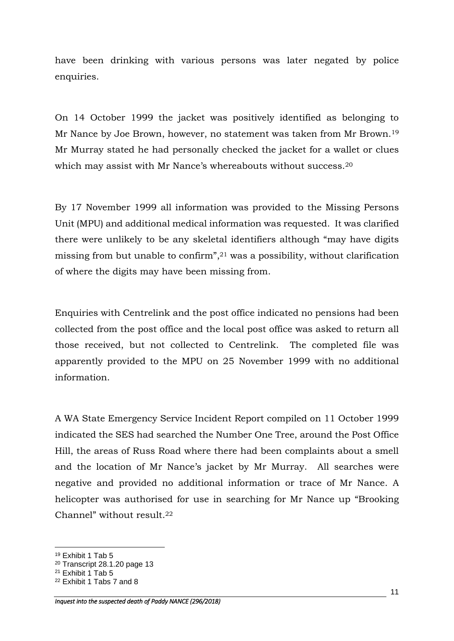have been drinking with various persons was later negated by police enquiries.

On 14 October 1999 the jacket was positively identified as belonging to Mr Nance by Joe Brown, however, no statement was taken from Mr Brown.<sup>19</sup> Mr Murray stated he had personally checked the jacket for a wallet or clues which may assist with Mr Nance's whereabouts without success.<sup>20</sup>

By 17 November 1999 all information was provided to the Missing Persons Unit (MPU) and additional medical information was requested. It was clarified there were unlikely to be any skeletal identifiers although "may have digits missing from but unable to confirm", <sup>21</sup> was a possibility, without clarification of where the digits may have been missing from.

Enquiries with Centrelink and the post office indicated no pensions had been collected from the post office and the local post office was asked to return all those received, but not collected to Centrelink. The completed file was apparently provided to the MPU on 25 November 1999 with no additional information.

A WA State Emergency Service Incident Report compiled on 11 October 1999 indicated the SES had searched the Number One Tree, around the Post Office Hill, the areas of Russ Road where there had been complaints about a smell and the location of Mr Nance's jacket by Mr Murray. All searches were negative and provided no additional information or trace of Mr Nance. A helicopter was authorised for use in searching for Mr Nance up "Brooking Channel" without result.<sup>22</sup>

<sup>19</sup> Exhibit 1 Tab 5

<sup>20</sup> Transcript 28.1.20 page 13

 $21$  Exhibit 1 Tab 5

<sup>22</sup> Exhibit 1 Tabs 7 and 8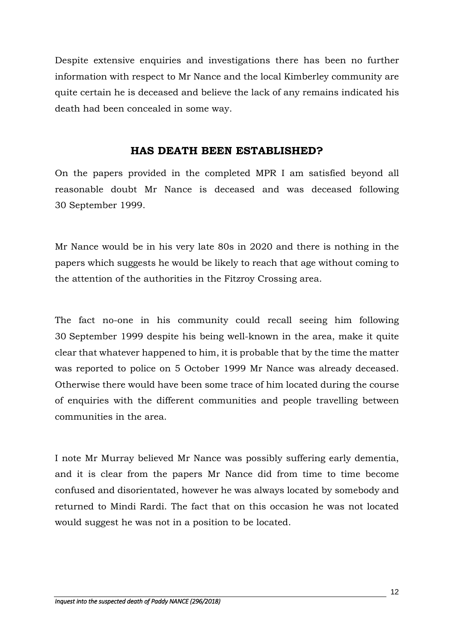Despite extensive enquiries and investigations there has been no further information with respect to Mr Nance and the local Kimberley community are quite certain he is deceased and believe the lack of any remains indicated his death had been concealed in some way.

### **HAS DEATH BEEN ESTABLISHED?**

On the papers provided in the completed MPR I am satisfied beyond all reasonable doubt Mr Nance is deceased and was deceased following 30 September 1999.

Mr Nance would be in his very late 80s in 2020 and there is nothing in the papers which suggests he would be likely to reach that age without coming to the attention of the authorities in the Fitzroy Crossing area.

The fact no-one in his community could recall seeing him following 30 September 1999 despite his being well-known in the area, make it quite clear that whatever happened to him, it is probable that by the time the matter was reported to police on 5 October 1999 Mr Nance was already deceased. Otherwise there would have been some trace of him located during the course of enquiries with the different communities and people travelling between communities in the area.

I note Mr Murray believed Mr Nance was possibly suffering early dementia, and it is clear from the papers Mr Nance did from time to time become confused and disorientated, however he was always located by somebody and returned to Mindi Rardi. The fact that on this occasion he was not located would suggest he was not in a position to be located.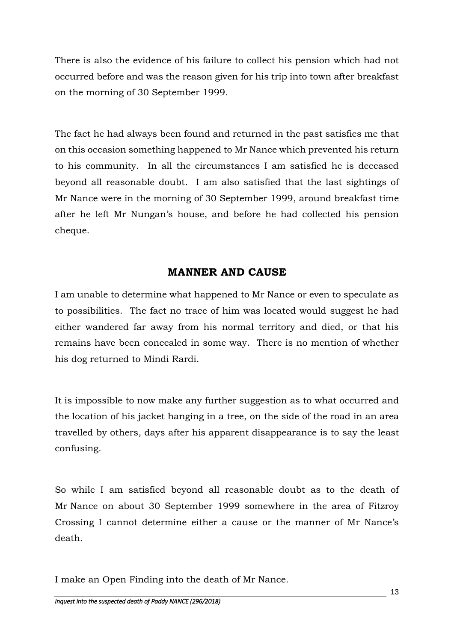There is also the evidence of his failure to collect his pension which had not occurred before and was the reason given for his trip into town after breakfast on the morning of 30 September 1999.

The fact he had always been found and returned in the past satisfies me that on this occasion something happened to Mr Nance which prevented his return to his community. In all the circumstances I am satisfied he is deceased beyond all reasonable doubt. I am also satisfied that the last sightings of Mr Nance were in the morning of 30 September 1999, around breakfast time after he left Mr Nungan's house, and before he had collected his pension cheque.

# **MANNER AND CAUSE**

I am unable to determine what happened to Mr Nance or even to speculate as to possibilities. The fact no trace of him was located would suggest he had either wandered far away from his normal territory and died, or that his remains have been concealed in some way. There is no mention of whether his dog returned to Mindi Rardi.

It is impossible to now make any further suggestion as to what occurred and the location of his jacket hanging in a tree, on the side of the road in an area travelled by others, days after his apparent disappearance is to say the least confusing.

So while I am satisfied beyond all reasonable doubt as to the death of Mr Nance on about 30 September 1999 somewhere in the area of Fitzroy Crossing I cannot determine either a cause or the manner of Mr Nance's death.

I make an Open Finding into the death of Mr Nance.